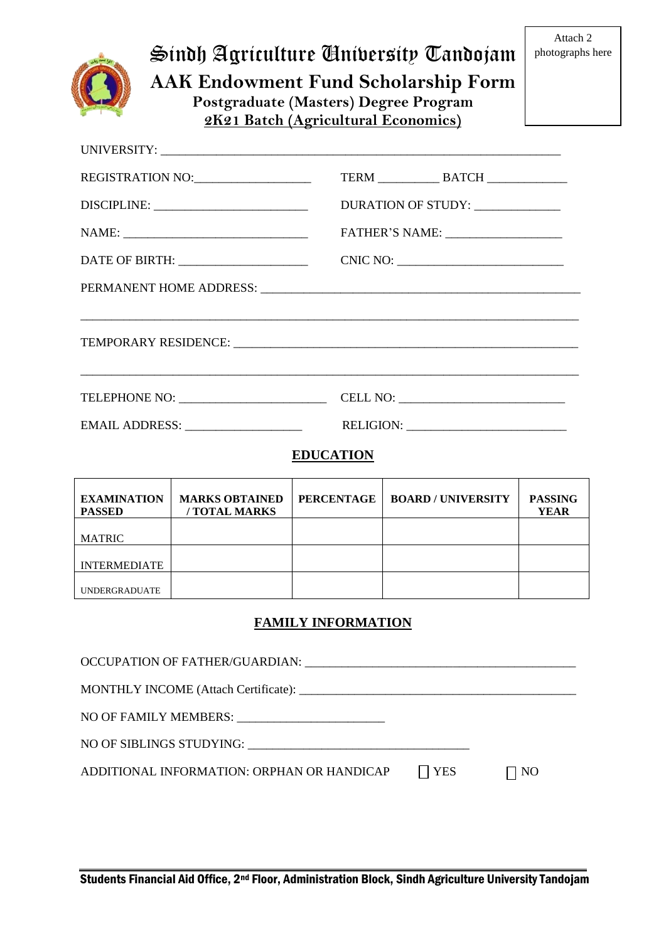|                                     | Sindh Agriculture Anibersity Tandojam<br><b>AAK Endowment Fund Scholarship Form</b><br>Postgraduate (Masters) Degree Program<br>2K21 Batch (Agricultural Economics) |                           |                                                                      |                        |  |  |
|-------------------------------------|---------------------------------------------------------------------------------------------------------------------------------------------------------------------|---------------------------|----------------------------------------------------------------------|------------------------|--|--|
|                                     |                                                                                                                                                                     |                           |                                                                      |                        |  |  |
| REGISTRATION NO:                    |                                                                                                                                                                     |                           |                                                                      |                        |  |  |
|                                     |                                                                                                                                                                     |                           | DURATION OF STUDY: _____________                                     |                        |  |  |
|                                     |                                                                                                                                                                     |                           |                                                                      |                        |  |  |
|                                     |                                                                                                                                                                     |                           |                                                                      |                        |  |  |
|                                     |                                                                                                                                                                     |                           | <u> 1989 - Johann Barn, mars an t-Amerikaansk politiker (* 1989)</u> |                        |  |  |
|                                     |                                                                                                                                                                     |                           |                                                                      |                        |  |  |
|                                     |                                                                                                                                                                     |                           |                                                                      |                        |  |  |
| <b>EDUCATION</b>                    |                                                                                                                                                                     |                           |                                                                      |                        |  |  |
| <b>EXAMINATION</b><br><b>PASSED</b> | <b>MARKS OBTAINED</b><br>/ TOTAL MARKS                                                                                                                              | <b>PERCENTAGE</b>         | <b>BOARD/UNIVERSITY</b>                                              | <b>PASSING</b><br>YEAR |  |  |
| <b>MATRIC</b>                       |                                                                                                                                                                     |                           |                                                                      |                        |  |  |
| <b>INTERMEDIATE</b>                 |                                                                                                                                                                     |                           |                                                                      |                        |  |  |
| <b>UNDERGRADUATE</b>                |                                                                                                                                                                     |                           |                                                                      |                        |  |  |
|                                     |                                                                                                                                                                     | <b>FAMILY INFORMATION</b> |                                                                      |                        |  |  |

OCCUPATION OF FATHER/GUARDIAN: \_\_\_\_\_\_\_\_\_\_\_\_\_\_\_\_\_\_\_\_\_\_\_\_\_\_\_\_\_\_\_\_\_\_\_\_\_\_\_\_\_\_\_\_ MONTHLY INCOME (Attach Certificate): \_\_\_\_\_\_\_\_\_\_\_\_\_\_\_\_\_\_\_\_\_\_\_\_\_\_\_\_\_\_\_\_\_\_\_\_\_\_\_\_\_\_\_\_\_ NO OF FAMILY MEMBERS: NO OF SIBLINGS STUDYING: \_\_\_\_\_\_\_\_\_\_\_\_\_\_\_\_\_\_\_\_\_\_\_\_\_\_\_\_\_\_\_\_\_\_\_\_ ADDITIONAL INFORMATION: ORPHAN OR HANDICAP  $\Box$  YES  $\Box$  NO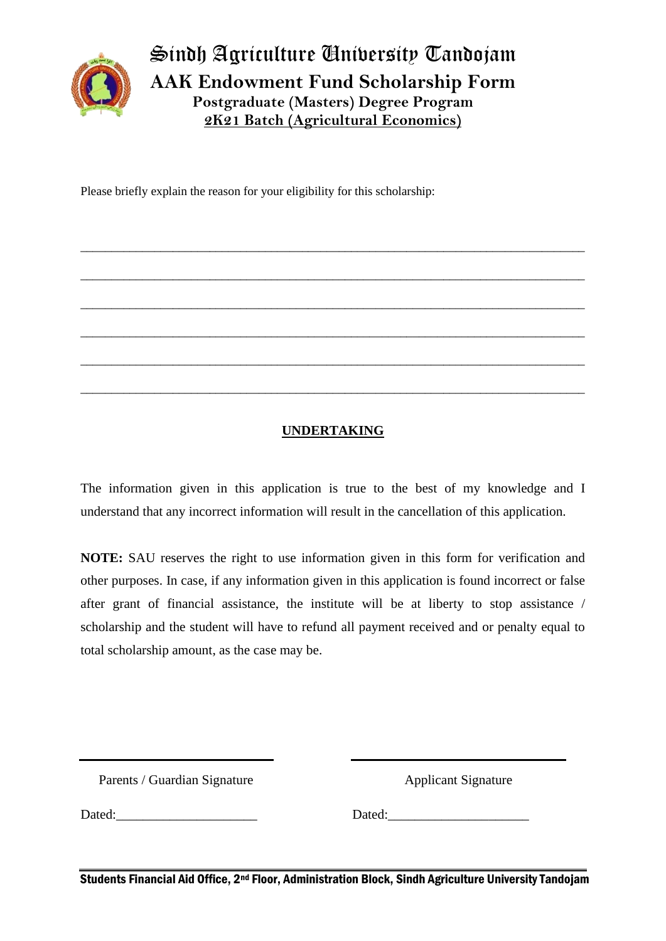

Sindh Agriculture University Tandojam **AAK Endowment Fund Scholarship Form Postgraduate (Masters) Degree Program 2K21 Batch (Agricultural Economics)**

\_\_\_\_\_\_\_\_\_\_\_\_\_\_\_\_\_\_\_\_\_\_\_\_\_\_\_\_\_\_\_\_\_\_\_\_\_\_\_\_\_\_\_\_\_\_\_\_\_\_\_\_\_\_\_\_\_\_\_\_\_\_\_\_\_\_\_\_\_\_\_\_\_\_\_\_\_\_\_\_\_\_

\_\_\_\_\_\_\_\_\_\_\_\_\_\_\_\_\_\_\_\_\_\_\_\_\_\_\_\_\_\_\_\_\_\_\_\_\_\_\_\_\_\_\_\_\_\_\_\_\_\_\_\_\_\_\_\_\_\_\_\_\_\_\_\_\_\_\_\_\_\_\_\_\_\_\_\_\_\_\_\_\_\_

\_\_\_\_\_\_\_\_\_\_\_\_\_\_\_\_\_\_\_\_\_\_\_\_\_\_\_\_\_\_\_\_\_\_\_\_\_\_\_\_\_\_\_\_\_\_\_\_\_\_\_\_\_\_\_\_\_\_\_\_\_\_\_\_\_\_\_\_\_\_\_\_\_\_\_\_\_\_\_\_\_\_

\_\_\_\_\_\_\_\_\_\_\_\_\_\_\_\_\_\_\_\_\_\_\_\_\_\_\_\_\_\_\_\_\_\_\_\_\_\_\_\_\_\_\_\_\_\_\_\_\_\_\_\_\_\_\_\_\_\_\_\_\_\_\_\_\_\_\_\_\_\_\_\_\_\_\_\_\_\_\_\_\_\_

\_\_\_\_\_\_\_\_\_\_\_\_\_\_\_\_\_\_\_\_\_\_\_\_\_\_\_\_\_\_\_\_\_\_\_\_\_\_\_\_\_\_\_\_\_\_\_\_\_\_\_\_\_\_\_\_\_\_\_\_\_\_\_\_\_\_\_\_\_\_\_\_\_\_\_\_\_\_\_\_\_\_

\_\_\_\_\_\_\_\_\_\_\_\_\_\_\_\_\_\_\_\_\_\_\_\_\_\_\_\_\_\_\_\_\_\_\_\_\_\_\_\_\_\_\_\_\_\_\_\_\_\_\_\_\_\_\_\_\_\_\_\_\_\_\_\_\_\_\_\_\_\_\_\_\_\_\_\_\_\_\_\_\_\_

Please briefly explain the reason for your eligibility for this scholarship:

## **UNDERTAKING**

The information given in this application is true to the best of my knowledge and I understand that any incorrect information will result in the cancellation of this application.

**NOTE:** SAU reserves the right to use information given in this form for verification and other purposes. In case, if any information given in this application is found incorrect or false after grant of financial assistance, the institute will be at liberty to stop assistance / scholarship and the student will have to refund all payment received and or penalty equal to total scholarship amount, as the case may be.

Parents / Guardian Signature

Applicant Signature

Dated:

Dated: